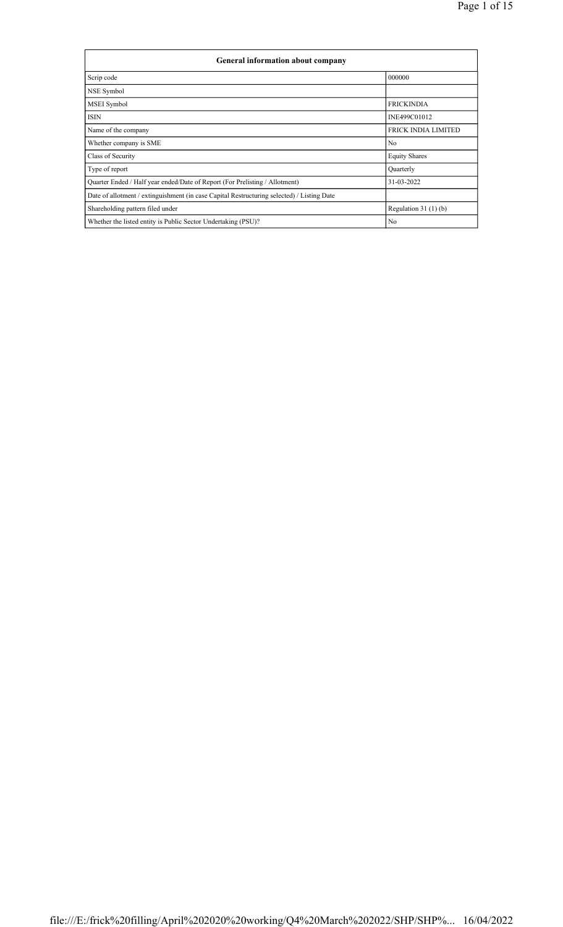| General information about company                                                          |                            |  |  |  |  |
|--------------------------------------------------------------------------------------------|----------------------------|--|--|--|--|
| Scrip code                                                                                 | 000000                     |  |  |  |  |
| NSE Symbol                                                                                 |                            |  |  |  |  |
| MSEI Symbol                                                                                | <b>FRICKINDIA</b>          |  |  |  |  |
| <b>ISIN</b>                                                                                | INE499C01012               |  |  |  |  |
| Name of the company                                                                        | <b>FRICK INDIA LIMITED</b> |  |  |  |  |
| Whether company is SME                                                                     | N <sub>0</sub>             |  |  |  |  |
| Class of Security                                                                          | <b>Equity Shares</b>       |  |  |  |  |
| Type of report                                                                             | Quarterly                  |  |  |  |  |
| Quarter Ended / Half year ended/Date of Report (For Prelisting / Allotment)                | 31-03-2022                 |  |  |  |  |
| Date of allotment / extinguishment (in case Capital Restructuring selected) / Listing Date |                            |  |  |  |  |
| Regulation $31(1)(b)$<br>Shareholding pattern filed under                                  |                            |  |  |  |  |
| N <sub>0</sub><br>Whether the listed entity is Public Sector Undertaking (PSU)?            |                            |  |  |  |  |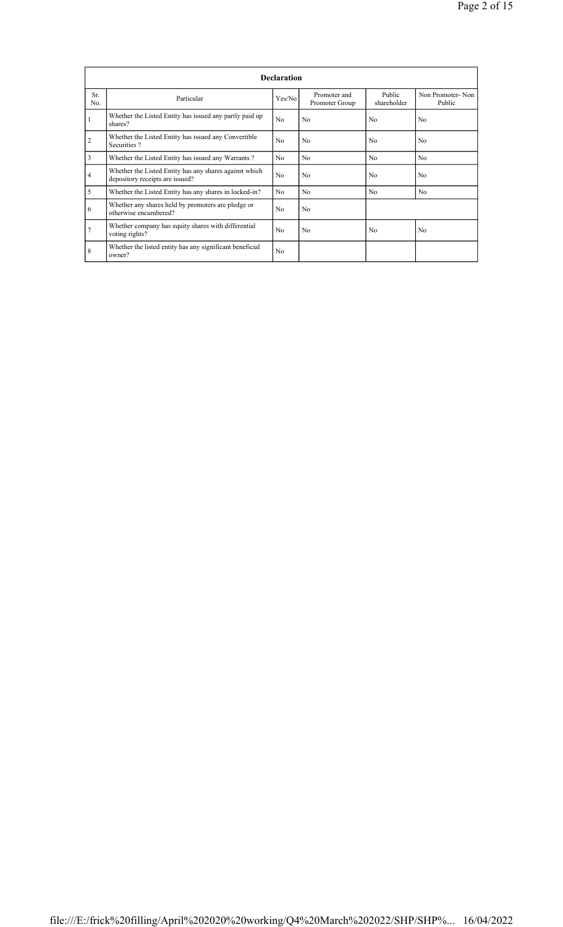|                | <b>Declaration</b>                                                                        |                |                                |                       |                            |  |  |
|----------------|-------------------------------------------------------------------------------------------|----------------|--------------------------------|-----------------------|----------------------------|--|--|
| Sr.<br>No.     | Particular                                                                                | Yes/No         | Promoter and<br>Promoter Group | Public<br>shareholder | Non Promoter-Non<br>Public |  |  |
|                | Whether the Listed Entity has issued any partly paid up<br>shares?                        | N <sub>0</sub> | N <sub>0</sub>                 | N <sub>0</sub>        | N <sub>0</sub>             |  |  |
| $\overline{2}$ | Whether the Listed Entity has issued any Convertible<br>Securities?                       | No             | No                             | N <sub>0</sub>        | N <sub>0</sub>             |  |  |
| 3              | Whether the Listed Entity has issued any Warrants?                                        | N <sub>0</sub> | N <sub>0</sub>                 | N <sub>0</sub>        | N <sub>0</sub>             |  |  |
| $\overline{4}$ | Whether the Listed Entity has any shares against which<br>depository receipts are issued? | N <sub>0</sub> | N <sub>0</sub>                 | N <sub>0</sub>        | N <sub>0</sub>             |  |  |
| 5              | Whether the Listed Entity has any shares in locked-in?                                    | N <sub>0</sub> | N <sub>0</sub>                 | N <sub>0</sub>        | N <sub>0</sub>             |  |  |
| 6              | Whether any shares held by promoters are pledge or<br>otherwise encumbered?               | N <sub>0</sub> | N <sub>0</sub>                 |                       |                            |  |  |
| $\overline{7}$ | Whether company has equity shares with differential<br>voting rights?                     | No             | N <sub>0</sub>                 | N <sub>0</sub>        | N <sub>0</sub>             |  |  |
| 8              | Whether the listed entity has any significant beneficial<br>owner?                        | N <sub>0</sub> |                                |                       |                            |  |  |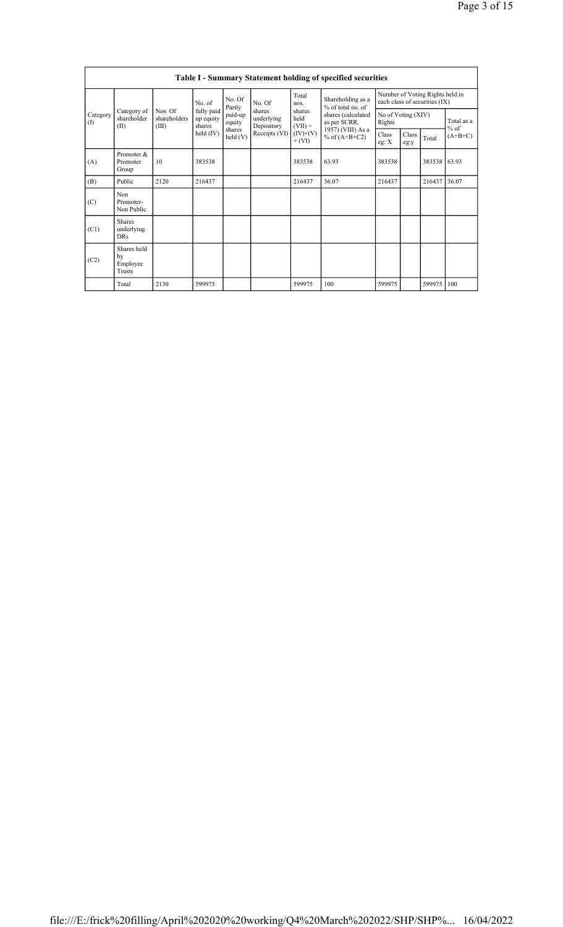|                 | Table I - Summary Statement holding of specified securities |                                  |                                                  |                                         |                                                     |                                                       |                                                                                                                      |                                                                  |               |        |                      |
|-----------------|-------------------------------------------------------------|----------------------------------|--------------------------------------------------|-----------------------------------------|-----------------------------------------------------|-------------------------------------------------------|----------------------------------------------------------------------------------------------------------------------|------------------------------------------------------------------|---------------|--------|----------------------|
|                 |                                                             |                                  | No. of                                           | No. Of<br>Partly                        | No. Of                                              | Total<br>nos.                                         | Shareholding as a<br>% of total no. of<br>shares (calculated<br>as per SCRR,<br>1957) (VIII) As a<br>% of $(A+B+C2)$ | Number of Voting Rights held in<br>each class of securities (IX) |               |        |                      |
| Category<br>(1) | Category of<br>shareholder<br>(II)                          | Nos. Of<br>shareholders<br>(III) | fully paid<br>up equity<br>shares<br>held $(IV)$ | paid-up<br>equity<br>shares<br>held (V) | shares<br>underlying<br>Depository<br>Receipts (VI) | shares<br>held<br>$(VII) =$<br>$(IV)+(V)$<br>$+ (VI)$ |                                                                                                                      | No of Voting (XIV)<br>Rights                                     |               |        | Total as a<br>$%$ of |
|                 |                                                             |                                  |                                                  |                                         |                                                     |                                                       |                                                                                                                      | Class<br>eg: $X$                                                 | Class<br>eg:y | Total  | $(A+B+C)$            |
| (A)             | Promoter &<br>Promoter<br>Group                             | 10                               | 383538                                           |                                         |                                                     | 383538                                                | 63.93                                                                                                                | 383538                                                           |               | 383538 | 63.93                |
| (B)             | Public                                                      | 2120                             | 216437                                           |                                         |                                                     | 216437                                                | 36.07                                                                                                                | 216437                                                           |               | 216437 | 36.07                |
| (C)             | Non<br>Promoter-<br>Non Public                              |                                  |                                                  |                                         |                                                     |                                                       |                                                                                                                      |                                                                  |               |        |                      |
| (C1)            | <b>Shares</b><br>underlying<br><b>DRs</b>                   |                                  |                                                  |                                         |                                                     |                                                       |                                                                                                                      |                                                                  |               |        |                      |
| (C2)            | Shares held<br>by<br>Employee<br>Trusts                     |                                  |                                                  |                                         |                                                     |                                                       |                                                                                                                      |                                                                  |               |        |                      |
|                 | Total                                                       | 2130                             | 599975                                           |                                         |                                                     | 599975                                                | 100                                                                                                                  | 599975                                                           |               | 599975 | 100                  |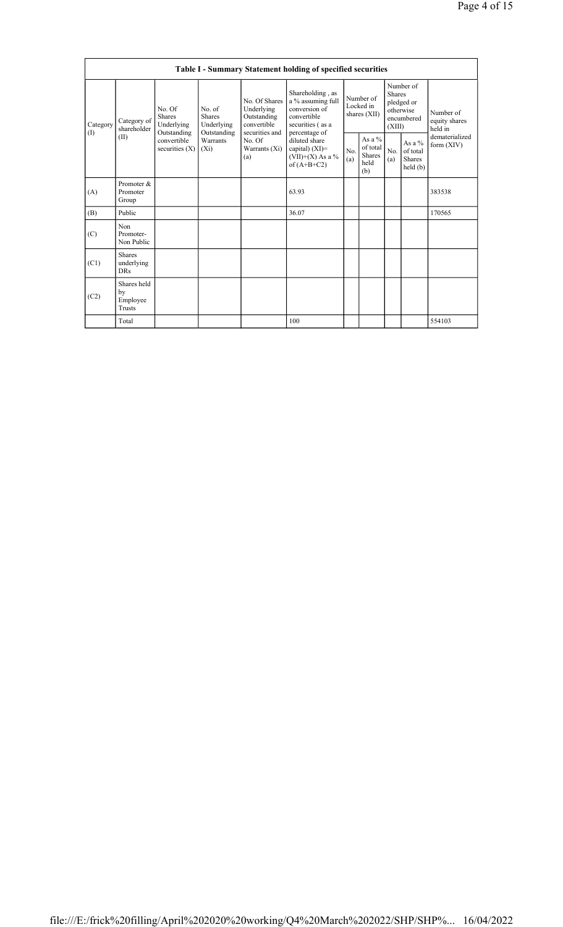|                 | Table I - Summary Statement holding of specified securities                  |                                                        |                                       |                                                                                                               |                                                                                                            |                                          |                                               |                                                                               |                                                 |                                       |
|-----------------|------------------------------------------------------------------------------|--------------------------------------------------------|---------------------------------------|---------------------------------------------------------------------------------------------------------------|------------------------------------------------------------------------------------------------------------|------------------------------------------|-----------------------------------------------|-------------------------------------------------------------------------------|-------------------------------------------------|---------------------------------------|
| Category<br>(I) | No. Of<br><b>Shares</b><br>Category of<br>shareholder<br>Outstanding<br>(II) | Underlying                                             | No. of<br><b>Shares</b><br>Underlying | No. Of Shares<br>Underlying<br>Outstanding<br>convertible<br>securities and<br>No. Of<br>Warrants (Xi)<br>(a) | Shareholding, as<br>a % assuming full<br>conversion of<br>convertible<br>securities (as a<br>percentage of | Number of<br>Locked in<br>shares $(XII)$ |                                               | Number of<br><b>Shares</b><br>pledged or<br>otherwise<br>encumbered<br>(XIII) |                                                 | Number of<br>equity shares<br>held in |
|                 |                                                                              | convertible<br>Warrants<br>securities $(X)$<br>$(X_i)$ | Outstanding                           |                                                                                                               | diluted share<br>capital) $(XI)$ =<br>(VII)+(X) As a $\%$<br>of $(A+B+C2)$                                 | No.<br>(a)                               | As a $%$<br>of total<br>Shares<br>held<br>(b) | No.<br>(a)                                                                    | As a %<br>of total<br><b>Shares</b><br>held (b) | dematerialized<br>form $(XIV)$        |
| (A)             | Promoter &<br>Promoter<br>Group                                              |                                                        |                                       |                                                                                                               | 63.93                                                                                                      |                                          |                                               |                                                                               |                                                 | 383538                                |
| (B)             | Public                                                                       |                                                        |                                       |                                                                                                               | 36.07                                                                                                      |                                          |                                               |                                                                               |                                                 | 170565                                |
| (C)             | <b>Non</b><br>Promoter-<br>Non Public                                        |                                                        |                                       |                                                                                                               |                                                                                                            |                                          |                                               |                                                                               |                                                 |                                       |
| (C1)            | <b>Shares</b><br>underlying<br><b>DRs</b>                                    |                                                        |                                       |                                                                                                               |                                                                                                            |                                          |                                               |                                                                               |                                                 |                                       |
| (C2)            | Shares held<br>by<br>Employee<br>Trusts                                      |                                                        |                                       |                                                                                                               |                                                                                                            |                                          |                                               |                                                                               |                                                 |                                       |
|                 | Total                                                                        |                                                        |                                       |                                                                                                               | 100                                                                                                        |                                          |                                               |                                                                               |                                                 | 554103                                |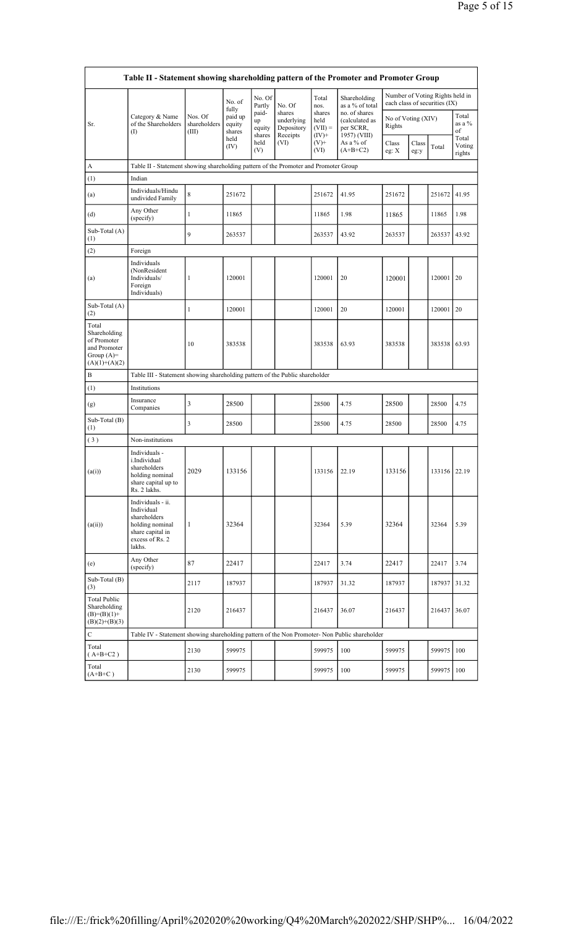|                                                                                         | Table II - Statement showing shareholding pattern of the Promoter and Promoter Group                                |                                  |                                              |                                 |                                                |                                         |                                                              |                              |               |                                                                  |                                |
|-----------------------------------------------------------------------------------------|---------------------------------------------------------------------------------------------------------------------|----------------------------------|----------------------------------------------|---------------------------------|------------------------------------------------|-----------------------------------------|--------------------------------------------------------------|------------------------------|---------------|------------------------------------------------------------------|--------------------------------|
|                                                                                         |                                                                                                                     |                                  | No. of                                       | No. Of<br>Partly                | No. Of                                         | Total<br>nos.                           | Shareholding<br>as a % of total                              |                              |               | Number of Voting Rights held in<br>each class of securities (IX) |                                |
| Sr.                                                                                     | Category & Name<br>of the Shareholders<br>$($ I                                                                     | Nos. Of<br>shareholders<br>(III) | fully<br>paid up<br>equity<br>shares<br>held | paid-<br>up<br>equity<br>shares | shares<br>underlying<br>Depository<br>Receipts | shares<br>held<br>$(VII) =$<br>$(IV)^+$ | no. of shares<br>(calculated as<br>per SCRR,<br>1957) (VIII) | No of Voting (XIV)<br>Rights |               |                                                                  | Total<br>as a %<br>of<br>Total |
|                                                                                         |                                                                                                                     |                                  | (IV)                                         | held<br>(V)                     | (VI)                                           | $(V)$ +<br>(VI)                         | As a % of<br>$(A+B+C2)$                                      | Class<br>eg: $X$             | Class<br>eg:y | Total                                                            | Voting<br>rights               |
| A                                                                                       | Table II - Statement showing shareholding pattern of the Promoter and Promoter Group                                |                                  |                                              |                                 |                                                |                                         |                                                              |                              |               |                                                                  |                                |
| (1)                                                                                     | Indian                                                                                                              |                                  |                                              |                                 |                                                |                                         |                                                              |                              |               |                                                                  |                                |
| (a)                                                                                     | Individuals/Hindu<br>undivided Family                                                                               | 8                                | 251672                                       |                                 |                                                | 251672                                  | 41.95                                                        | 251672                       |               | 251672                                                           | 41.95                          |
| (d)                                                                                     | Any Other<br>(specify)                                                                                              | $\mathbf{1}$                     | 11865                                        |                                 |                                                | 11865                                   | 1.98                                                         | 11865                        |               | 11865                                                            | 1.98                           |
| Sub-Total (A)<br>(1)                                                                    |                                                                                                                     | 9                                | 263537                                       |                                 |                                                | 263537                                  | 43.92                                                        | 263537                       |               | 263537                                                           | 43.92                          |
| (2)                                                                                     | Foreign                                                                                                             |                                  |                                              |                                 |                                                |                                         |                                                              |                              |               |                                                                  |                                |
| (a)                                                                                     | Individuals<br>(NonResident<br>Individuals/<br>Foreign<br>Individuals)                                              | 1                                | 120001                                       |                                 |                                                | 120001                                  | 20                                                           | 120001                       |               | 120001                                                           | 20                             |
| Sub-Total (A)<br>(2)                                                                    |                                                                                                                     | 1                                | 120001                                       |                                 |                                                | 120001                                  | 20                                                           | 120001                       |               | 120001                                                           | 20                             |
| Total<br>Shareholding<br>of Promoter<br>and Promoter<br>Group $(A)=$<br>$(A)(1)+(A)(2)$ |                                                                                                                     | 10                               | 383538                                       |                                 |                                                | 383538                                  | 63.93                                                        | 383538                       |               | 383538                                                           | 63.93                          |
| B                                                                                       | Table III - Statement showing shareholding pattern of the Public shareholder                                        |                                  |                                              |                                 |                                                |                                         |                                                              |                              |               |                                                                  |                                |
| (1)                                                                                     | Institutions                                                                                                        |                                  |                                              |                                 |                                                |                                         |                                                              |                              |               |                                                                  |                                |
| (g)                                                                                     | Insurance<br>Companies                                                                                              | 3                                | 28500                                        |                                 |                                                | 28500                                   | 4.75                                                         | 28500                        |               | 28500                                                            | 4.75                           |
| Sub-Total (B)<br>(1)                                                                    |                                                                                                                     | 3                                | 28500                                        |                                 |                                                | 28500                                   | 4.75                                                         | 28500                        |               | 28500                                                            | 4.75                           |
| (3)                                                                                     | Non-institutions                                                                                                    |                                  |                                              |                                 |                                                |                                         |                                                              |                              |               |                                                                  |                                |
| (a(i))                                                                                  | Individuals -<br>i.Individual<br>shareholders<br>holding nominal<br>share capital up to<br>Rs. 2 lakhs.             | 2029                             | 133156                                       |                                 |                                                | 133156                                  | 22.19                                                        | 133156                       |               | 133156 22.19                                                     |                                |
| (a(ii))                                                                                 | Individuals - ii.<br>Individual<br>shareholders<br>holding nominal<br>share capital in<br>excess of Rs. 2<br>lakhs. | 1                                | 32364                                        |                                 |                                                | 32364                                   | 5.39                                                         | 32364                        |               | 32364                                                            | 5.39                           |
| (e)                                                                                     | Any Other<br>(specify)                                                                                              | 87                               | 22417                                        |                                 |                                                | 22417                                   | 3.74                                                         | 22417                        |               | 22417                                                            | 3.74                           |
| Sub-Total (B)<br>(3)                                                                    |                                                                                                                     | 2117                             | 187937                                       |                                 |                                                | 187937                                  | 31.32                                                        | 187937                       |               | 187937                                                           | 31.32                          |
| <b>Total Public</b><br>Shareholding<br>$(B)= (B)(1) +$<br>$(B)(2)+(B)(3)$               |                                                                                                                     | 2120                             | 216437                                       |                                 |                                                | 216437                                  | 36.07                                                        | 216437                       |               | 216437 36.07                                                     |                                |
| $\mathbf C$                                                                             | Table IV - Statement showing shareholding pattern of the Non Promoter- Non Public shareholder                       |                                  |                                              |                                 |                                                |                                         |                                                              |                              |               |                                                                  |                                |
| Total<br>$(A+B+C2)$                                                                     |                                                                                                                     | 2130                             | 599975                                       |                                 |                                                | 599975                                  | 100                                                          | 599975                       |               | 599975                                                           | 100                            |
| Total<br>$(A+B+C)$                                                                      |                                                                                                                     | 2130                             | 599975                                       |                                 |                                                | 599975                                  | 100                                                          | 599975                       |               | 599975                                                           | 100                            |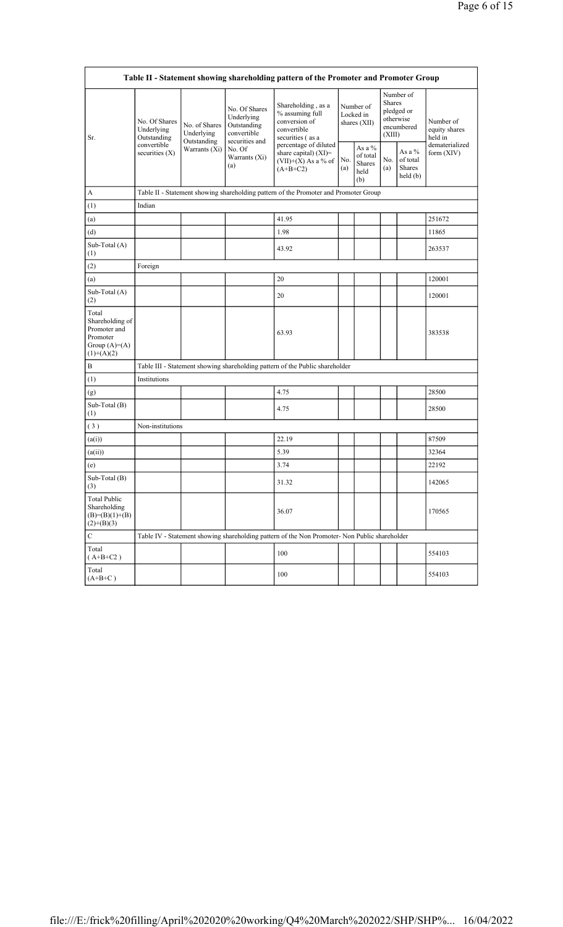| Table II - Statement showing shareholding pattern of the Promoter and Promoter Group   |                                            |                              |                                                           |                                                                                                                       |                                        |                                             |                                                                               |                                                  |                                       |
|----------------------------------------------------------------------------------------|--------------------------------------------|------------------------------|-----------------------------------------------------------|-----------------------------------------------------------------------------------------------------------------------|----------------------------------------|---------------------------------------------|-------------------------------------------------------------------------------|--------------------------------------------------|---------------------------------------|
| Sr.                                                                                    | No. Of Shares<br>Underlying<br>Outstanding | No. of Shares<br>Underlying  | No. Of Shares<br>Underlying<br>Outstanding<br>convertible | Shareholding, as a<br>% assuming full<br>conversion of<br>convertible<br>securities (as a                             | Number of<br>Locked in<br>shares (XII) |                                             | Number of<br><b>Shares</b><br>pledged or<br>otherwise<br>encumbered<br>(XIII) |                                                  | Number of<br>equity shares<br>held in |
|                                                                                        | convertible<br>securities $(X)$            | Outstanding<br>Warrants (Xi) | No. Of<br>Warrants (Xi)<br>(a)                            | securities and<br>percentage of diluted<br>share capital) (XI)=<br>No.<br>(VII)+ $(X)$ As a % of<br>(a)<br>$(A+B+C2)$ |                                        | As a %<br>of total<br>Shares<br>held<br>(b) | No.<br>(a)                                                                    | As a $%$<br>of total<br><b>Shares</b><br>held(b) | dematerialized<br>form $(XIV)$        |
| A                                                                                      |                                            |                              |                                                           | Table II - Statement showing shareholding pattern of the Promoter and Promoter Group                                  |                                        |                                             |                                                                               |                                                  |                                       |
| (1)                                                                                    | Indian                                     |                              |                                                           |                                                                                                                       |                                        |                                             |                                                                               |                                                  |                                       |
| (a)                                                                                    |                                            |                              |                                                           | 41.95                                                                                                                 |                                        |                                             |                                                                               |                                                  | 251672                                |
| (d)                                                                                    |                                            |                              |                                                           | 1.98                                                                                                                  |                                        |                                             |                                                                               |                                                  | 11865                                 |
| Sub-Total (A)<br>(1)                                                                   |                                            |                              |                                                           | 43.92                                                                                                                 |                                        |                                             |                                                                               |                                                  | 263537                                |
| (2)                                                                                    | Foreign                                    |                              |                                                           |                                                                                                                       |                                        |                                             |                                                                               |                                                  |                                       |
| (a)                                                                                    |                                            |                              |                                                           | 20                                                                                                                    |                                        |                                             |                                                                               |                                                  | 120001                                |
| Sub-Total (A)<br>(2)                                                                   |                                            |                              |                                                           | 20                                                                                                                    |                                        |                                             |                                                                               |                                                  | 120001                                |
| Total<br>Shareholding of<br>Promoter and<br>Promoter<br>Group $(A)=A)$<br>$(1)+(A)(2)$ |                                            |                              |                                                           | 63.93                                                                                                                 |                                        |                                             |                                                                               |                                                  | 383538                                |
| B                                                                                      |                                            |                              |                                                           | Table III - Statement showing shareholding pattern of the Public shareholder                                          |                                        |                                             |                                                                               |                                                  |                                       |
| (1)                                                                                    | Institutions                               |                              |                                                           |                                                                                                                       |                                        |                                             |                                                                               |                                                  |                                       |
| (g)                                                                                    |                                            |                              |                                                           | 4.75                                                                                                                  |                                        |                                             |                                                                               |                                                  | 28500                                 |
| Sub-Total $(B)$<br>(1)                                                                 |                                            |                              |                                                           | 4.75                                                                                                                  |                                        |                                             |                                                                               |                                                  | 28500                                 |
| (3)                                                                                    | Non-institutions                           |                              |                                                           |                                                                                                                       |                                        |                                             |                                                                               |                                                  |                                       |
| (a(i))                                                                                 |                                            |                              |                                                           | 22.19                                                                                                                 |                                        |                                             |                                                                               |                                                  | 87509                                 |
| (a(ii))                                                                                |                                            |                              |                                                           | 5.39                                                                                                                  |                                        |                                             |                                                                               |                                                  | 32364                                 |
| (e)                                                                                    |                                            |                              |                                                           | 3.74                                                                                                                  |                                        |                                             |                                                                               |                                                  | 22192                                 |
| Sub-Total (B)<br>(3)                                                                   |                                            |                              |                                                           | 31.32                                                                                                                 |                                        |                                             |                                                                               |                                                  | 142065                                |
| <b>Total Public</b><br>Shareholding<br>$(B)=(B)(1)+(B)$<br>$(2)+(B)(3)$                |                                            |                              |                                                           | 36.07                                                                                                                 |                                        |                                             |                                                                               |                                                  | 170565                                |
| $\mathbf C$                                                                            |                                            |                              |                                                           | Table IV - Statement showing shareholding pattern of the Non Promoter- Non Public shareholder                         |                                        |                                             |                                                                               |                                                  |                                       |
| Total<br>$(A+B+C2)$                                                                    |                                            |                              |                                                           | 100                                                                                                                   |                                        |                                             |                                                                               |                                                  | 554103                                |
| Total<br>$(A+B+C)$                                                                     |                                            |                              |                                                           | 100                                                                                                                   |                                        |                                             |                                                                               |                                                  | 554103                                |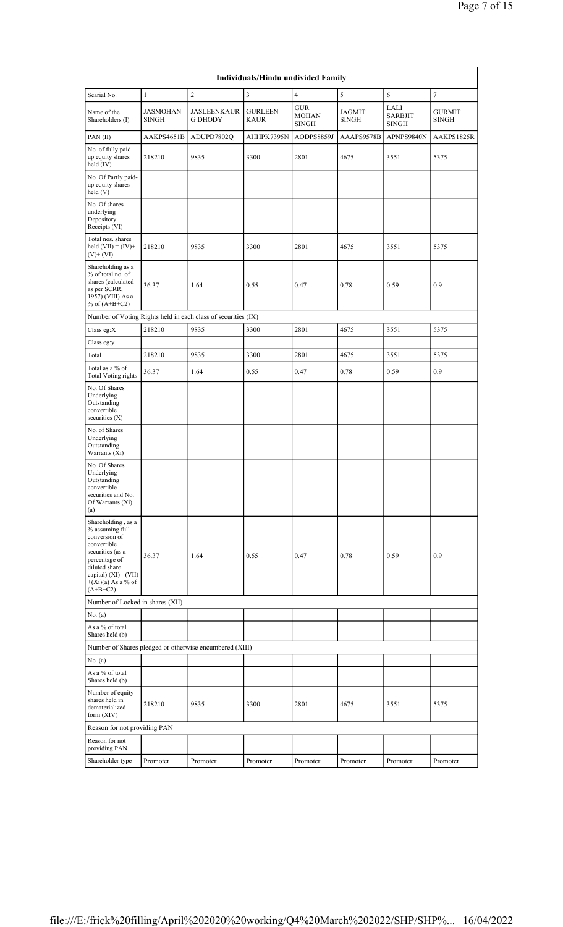|                                                                                                                                                                                              |                                 |                                                               | Individuals/Hindu undivided Family |                                            |                        |                                        |                               |
|----------------------------------------------------------------------------------------------------------------------------------------------------------------------------------------------|---------------------------------|---------------------------------------------------------------|------------------------------------|--------------------------------------------|------------------------|----------------------------------------|-------------------------------|
| Searial No.                                                                                                                                                                                  | $\mathbf{1}$                    | $\overline{2}$                                                | $\mathfrak{Z}$                     | 4                                          | 5                      | 6                                      | $\tau$                        |
| Name of the<br>Shareholders (I)                                                                                                                                                              | <b>JASMOHAN</b><br><b>SINGH</b> | <b>JASLEENKAUR</b><br><b>G DHODY</b>                          | <b>GURLEEN</b><br><b>KAUR</b>      | <b>GUR</b><br><b>MOHAN</b><br><b>SINGH</b> | JAGMIT<br><b>SINGH</b> | LALI<br><b>SARBJIT</b><br><b>SINGH</b> | <b>GURMIT</b><br><b>SINGH</b> |
| PAN(II)                                                                                                                                                                                      | AAKPS4651B                      | ADUPD7802Q                                                    | AHHPK7395N                         | AODPS8859J                                 | AAAPS9578B             | APNPS9840N                             | AAKPS1825R                    |
| No. of fully paid<br>up equity shares<br>held (IV)                                                                                                                                           | 218210                          | 9835                                                          | 3300                               | 2801                                       | 4675                   | 3551                                   | 5375                          |
| No. Of Partly paid-<br>up equity shares<br>held (V)                                                                                                                                          |                                 |                                                               |                                    |                                            |                        |                                        |                               |
| No. Of shares<br>underlying<br>Depository<br>Receipts (VI)                                                                                                                                   |                                 |                                                               |                                    |                                            |                        |                                        |                               |
| Total nos. shares<br>held $(VII) = (IV) +$<br>(V)+ (VI)                                                                                                                                      | 218210                          | 9835                                                          | 3300                               | 2801                                       | 4675                   | 3551                                   | 5375                          |
| Shareholding as a<br>% of total no. of<br>shares (calculated<br>as per SCRR,<br>1957) (VIII) As a<br>% of $(A+B+C2)$                                                                         | 36.37                           | 1.64                                                          | 0.55                               | 0.47                                       | 0.78                   | 0.59                                   | 0.9                           |
|                                                                                                                                                                                              |                                 | Number of Voting Rights held in each class of securities (IX) |                                    |                                            |                        |                                        |                               |
| Class eg: $X$                                                                                                                                                                                | 218210                          | 9835                                                          | 3300                               | 2801                                       | 4675                   | 3551                                   | 5375                          |
| Class eg:y                                                                                                                                                                                   |                                 |                                                               |                                    |                                            |                        |                                        |                               |
| Total                                                                                                                                                                                        | 218210                          | 9835                                                          | 3300                               | 2801                                       | 4675                   | 3551                                   | 5375                          |
| Total as a % of<br><b>Total Voting rights</b>                                                                                                                                                | 36.37                           | 1.64                                                          | 0.55                               | 0.47                                       | 0.78                   | 0.59                                   | 0.9                           |
| No. Of Shares<br>Underlying<br>Outstanding<br>convertible<br>securities $(X)$                                                                                                                |                                 |                                                               |                                    |                                            |                        |                                        |                               |
| No. of Shares<br>Underlying<br>Outstanding<br>Warrants (Xi)                                                                                                                                  |                                 |                                                               |                                    |                                            |                        |                                        |                               |
| No. Of Shares<br>Underlying<br>Outstanding<br>convertible<br>securities and No.<br>Of Warrants (Xi)<br>(a)                                                                                   |                                 |                                                               |                                    |                                            |                        |                                        |                               |
| Shareholding, as a<br>% assuming full<br>conversion of<br>convertible<br>securities (as a<br>percentage of<br>diluted share<br>capital) $(XI) = (VII)$<br>$+(Xi)(a)$ As a % of<br>$(A+B+C2)$ | 36.37                           | 1.64                                                          | 0.55                               | 0.47                                       | 0.78                   | 0.59                                   | 0.9                           |
| Number of Locked in shares (XII)                                                                                                                                                             |                                 |                                                               |                                    |                                            |                        |                                        |                               |
| No. (a)                                                                                                                                                                                      |                                 |                                                               |                                    |                                            |                        |                                        |                               |
| As a % of total<br>Shares held (b)                                                                                                                                                           |                                 |                                                               |                                    |                                            |                        |                                        |                               |
|                                                                                                                                                                                              |                                 | Number of Shares pledged or otherwise encumbered (XIII)       |                                    |                                            |                        |                                        |                               |
| No. $(a)$<br>As a % of total<br>Shares held (b)                                                                                                                                              |                                 |                                                               |                                    |                                            |                        |                                        |                               |
| Number of equity<br>shares held in<br>dematerialized<br>form (XIV)                                                                                                                           | 218210                          | 9835                                                          | 3300                               | 2801                                       | 4675                   | 3551                                   | 5375                          |
| Reason for not providing PAN                                                                                                                                                                 |                                 |                                                               |                                    |                                            |                        |                                        |                               |
| Reason for not<br>providing PAN                                                                                                                                                              |                                 |                                                               |                                    |                                            |                        |                                        |                               |
| Shareholder type                                                                                                                                                                             | Promoter                        | Promoter                                                      | Promoter                           | Promoter                                   | Promoter               | Promoter                               | Promoter                      |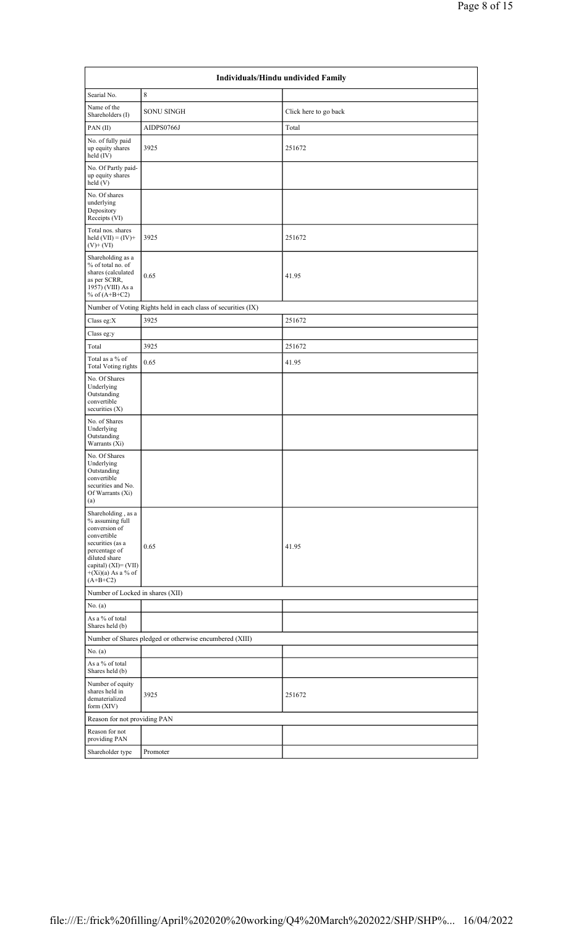|                                                                                                                                                                                           | Individuals/Hindu undivided Family                            |                       |  |  |  |  |
|-------------------------------------------------------------------------------------------------------------------------------------------------------------------------------------------|---------------------------------------------------------------|-----------------------|--|--|--|--|
| Searial No.                                                                                                                                                                               | 8                                                             |                       |  |  |  |  |
| Name of the<br>Shareholders (I)                                                                                                                                                           | <b>SONU SINGH</b>                                             | Click here to go back |  |  |  |  |
| PAN(II)                                                                                                                                                                                   | AIDPS0766J                                                    | Total                 |  |  |  |  |
| No. of fully paid<br>up equity shares<br>held $(IV)$                                                                                                                                      | 3925                                                          | 251672                |  |  |  |  |
| No. Of Partly paid-<br>up equity shares<br>held $(V)$                                                                                                                                     |                                                               |                       |  |  |  |  |
| No. Of shares<br>underlying<br>Depository<br>Receipts (VI)                                                                                                                                |                                                               |                       |  |  |  |  |
| Total nos. shares<br>held $(VII) = (IV) +$<br>$(V)+(VI)$                                                                                                                                  | 3925                                                          | 251672                |  |  |  |  |
| Shareholding as a<br>% of total no. of<br>shares (calculated<br>as per SCRR,<br>1957) (VIII) As a<br>% of $(A+B+C2)$                                                                      | 0.65                                                          | 41.95                 |  |  |  |  |
|                                                                                                                                                                                           | Number of Voting Rights held in each class of securities (IX) |                       |  |  |  |  |
| Class eg:X                                                                                                                                                                                | 3925                                                          | 251672                |  |  |  |  |
| Class eg:y                                                                                                                                                                                |                                                               |                       |  |  |  |  |
| Total                                                                                                                                                                                     | 3925                                                          | 251672                |  |  |  |  |
| Total as a % of<br><b>Total Voting rights</b>                                                                                                                                             | 0.65                                                          | 41.95                 |  |  |  |  |
| No. Of Shares<br>Underlying<br>Outstanding<br>convertible<br>securities $(X)$                                                                                                             |                                                               |                       |  |  |  |  |
| No. of Shares<br>Underlying<br>Outstanding<br>Warrants (Xi)                                                                                                                               |                                                               |                       |  |  |  |  |
| No. Of Shares<br>Underlying<br>Outstanding<br>convertible<br>securities and No.<br>Of Warrants (Xi)<br>(a)                                                                                |                                                               |                       |  |  |  |  |
| Shareholding, as a<br>% assuming full<br>conversion of<br>convertible<br>securities (as a<br>percentage of<br>diluted share<br>capital) (XI)= (VII)<br>$+(Xi)(a)$ As a % of<br>$(A+B+C2)$ | 0.65                                                          | 41.95                 |  |  |  |  |
| Number of Locked in shares (XII)                                                                                                                                                          |                                                               |                       |  |  |  |  |
| No. (a)                                                                                                                                                                                   |                                                               |                       |  |  |  |  |
| As a % of total<br>Shares held (b)                                                                                                                                                        |                                                               |                       |  |  |  |  |
|                                                                                                                                                                                           | Number of Shares pledged or otherwise encumbered (XIII)       |                       |  |  |  |  |
| No. (a)                                                                                                                                                                                   |                                                               |                       |  |  |  |  |
| As a % of total<br>Shares held (b)                                                                                                                                                        |                                                               |                       |  |  |  |  |
| Number of equity<br>shares held in<br>dematerialized<br>form $(XIV)$                                                                                                                      | 3925                                                          | 251672                |  |  |  |  |
| Reason for not providing PAN                                                                                                                                                              |                                                               |                       |  |  |  |  |
| Reason for not<br>providing PAN                                                                                                                                                           |                                                               |                       |  |  |  |  |
| Shareholder type                                                                                                                                                                          | Promoter                                                      |                       |  |  |  |  |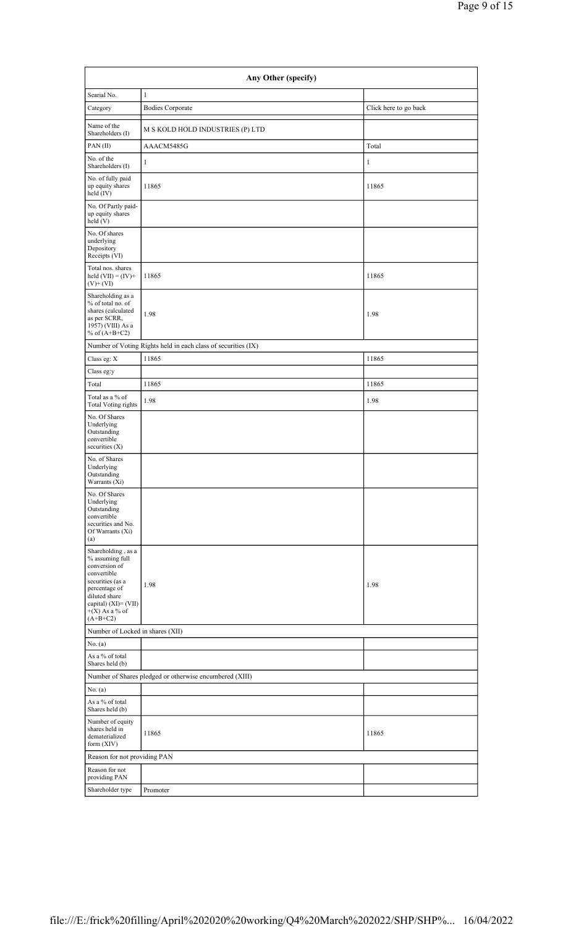| Any Other (specify)                                                                                                                                                                      |                                                               |                       |  |  |  |  |
|------------------------------------------------------------------------------------------------------------------------------------------------------------------------------------------|---------------------------------------------------------------|-----------------------|--|--|--|--|
| Searial No.                                                                                                                                                                              | $\mathbf{1}$                                                  |                       |  |  |  |  |
| Category                                                                                                                                                                                 | <b>Bodies Corporate</b>                                       | Click here to go back |  |  |  |  |
| Name of the<br>Shareholders (I)                                                                                                                                                          | M S KOLD HOLD INDUSTRIES (P) LTD                              |                       |  |  |  |  |
| PAN(II)                                                                                                                                                                                  | AAACM5485G                                                    | Total                 |  |  |  |  |
| No. of the<br>Shareholders (I)                                                                                                                                                           | 1                                                             | $\mathbf{1}$          |  |  |  |  |
| No. of fully paid<br>up equity shares<br>held (IV)                                                                                                                                       | 11865                                                         | 11865                 |  |  |  |  |
| No. Of Partly paid-<br>up equity shares<br>$\text{held}$ (V)                                                                                                                             |                                                               |                       |  |  |  |  |
| No. Of shares<br>underlying<br>Depository<br>Receipts (VI)                                                                                                                               |                                                               |                       |  |  |  |  |
| Total nos. shares<br>held $(VII) = (IV) +$<br>$(V)+(VI)$                                                                                                                                 | 11865                                                         | 11865                 |  |  |  |  |
| Shareholding as a<br>% of total no. of<br>shares (calculated<br>as per SCRR,<br>1957) (VIII) As a<br>% of $(A+B+C2)$                                                                     | 1.98                                                          | 1.98                  |  |  |  |  |
|                                                                                                                                                                                          | Number of Voting Rights held in each class of securities (IX) |                       |  |  |  |  |
| Class eg: X                                                                                                                                                                              | 11865                                                         | 11865                 |  |  |  |  |
| Class eg:y                                                                                                                                                                               |                                                               |                       |  |  |  |  |
| Total                                                                                                                                                                                    | 11865                                                         | 11865                 |  |  |  |  |
| Total as a % of<br><b>Total Voting rights</b>                                                                                                                                            | 1.98                                                          | 1.98                  |  |  |  |  |
| No. Of Shares<br>Underlying<br>Outstanding<br>convertible<br>securities $(X)$                                                                                                            |                                                               |                       |  |  |  |  |
| No. of Shares<br>Underlying<br>Outstanding<br>Warrants (Xi)                                                                                                                              |                                                               |                       |  |  |  |  |
| No. Of Shares<br>Underlying<br>Outstanding<br>convertible<br>securities and No.<br>Of Warrants (Xi)<br>(a)                                                                               |                                                               |                       |  |  |  |  |
| Shareholding, as a<br>% assuming full<br>conversion of<br>convertible<br>securities (as a<br>percentage of<br>diluted share<br>capital) $(XI) = (VII)$<br>$+(X)$ As a % of<br>$(A+B+C2)$ | 1.98                                                          | 1.98                  |  |  |  |  |
| Number of Locked in shares (XII)                                                                                                                                                         |                                                               |                       |  |  |  |  |
| No. (a)                                                                                                                                                                                  |                                                               |                       |  |  |  |  |
| As a % of total<br>Shares held (b)                                                                                                                                                       |                                                               |                       |  |  |  |  |
|                                                                                                                                                                                          | Number of Shares pledged or otherwise encumbered (XIII)       |                       |  |  |  |  |
| No. (a)<br>As a % of total                                                                                                                                                               |                                                               |                       |  |  |  |  |
| Shares held (b)                                                                                                                                                                          |                                                               |                       |  |  |  |  |
| Number of equity<br>shares held in<br>dematerialized<br>form $(XIV)$                                                                                                                     | 11865                                                         | 11865                 |  |  |  |  |
| Reason for not providing PAN                                                                                                                                                             |                                                               |                       |  |  |  |  |
| Reason for not<br>providing PAN                                                                                                                                                          |                                                               |                       |  |  |  |  |
| Shareholder type                                                                                                                                                                         | Promoter                                                      |                       |  |  |  |  |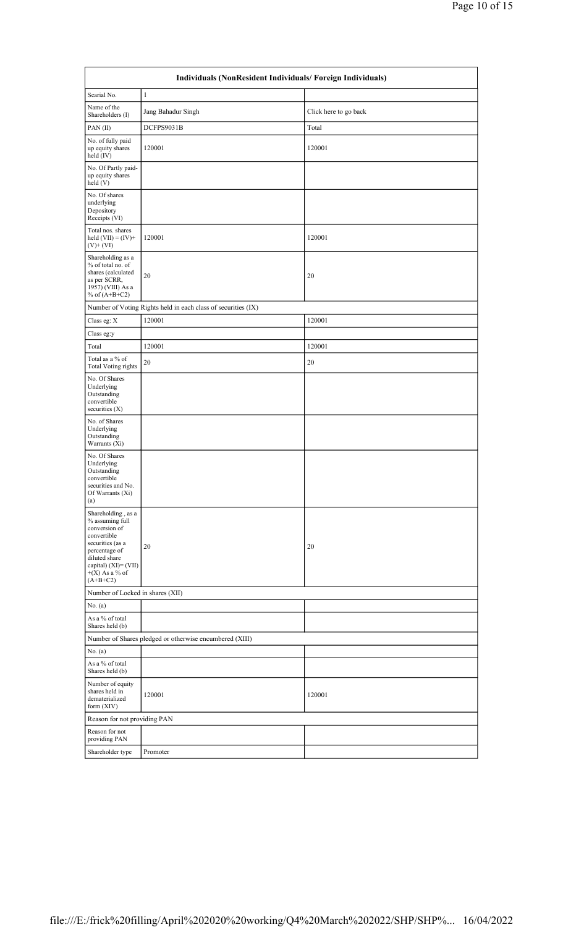|                                                                                                                                                                                       | Individuals (NonResident Individuals/ Foreign Individuals)    |                       |  |  |  |  |
|---------------------------------------------------------------------------------------------------------------------------------------------------------------------------------------|---------------------------------------------------------------|-----------------------|--|--|--|--|
| Searial No.                                                                                                                                                                           | $\mathbf{1}$                                                  |                       |  |  |  |  |
| Name of the<br>Shareholders (I)                                                                                                                                                       | Jang Bahadur Singh                                            | Click here to go back |  |  |  |  |
| PAN(II)                                                                                                                                                                               | DCFPS9031B                                                    | Total                 |  |  |  |  |
| No. of fully paid<br>up equity shares<br>held (IV)                                                                                                                                    | 120001                                                        | 120001                |  |  |  |  |
| No. Of Partly paid-<br>up equity shares<br>held(V)                                                                                                                                    |                                                               |                       |  |  |  |  |
| No. Of shares<br>underlying<br>Depository<br>Receipts (VI)                                                                                                                            |                                                               |                       |  |  |  |  |
| Total nos. shares<br>held $(VII) = (IV) +$<br>$(V)+(VI)$                                                                                                                              | 120001                                                        | 120001                |  |  |  |  |
| Shareholding as a<br>% of total no. of<br>shares (calculated<br>as per SCRR,<br>1957) (VIII) As a<br>% of $(A+B+C2)$                                                                  | 20                                                            | 20                    |  |  |  |  |
|                                                                                                                                                                                       | Number of Voting Rights held in each class of securities (IX) |                       |  |  |  |  |
| Class eg: X                                                                                                                                                                           | 120001                                                        | 120001                |  |  |  |  |
| Class eg:y                                                                                                                                                                            |                                                               |                       |  |  |  |  |
| Total                                                                                                                                                                                 | 120001                                                        | 120001                |  |  |  |  |
| Total as a % of<br><b>Total Voting rights</b>                                                                                                                                         | 20                                                            | 20                    |  |  |  |  |
| No. Of Shares<br>Underlying<br>Outstanding<br>convertible<br>securities (X)                                                                                                           |                                                               |                       |  |  |  |  |
| No. of Shares<br>Underlying<br>Outstanding<br>Warrants (Xi)                                                                                                                           |                                                               |                       |  |  |  |  |
| No. Of Shares<br>Underlying<br>Outstanding<br>convertible<br>securities and No.<br>Of Warrants (Xi)<br>(a)                                                                            |                                                               |                       |  |  |  |  |
| Shareholding, as a<br>% assuming full<br>conversion of<br>convertible<br>securities (as a<br>percentage of<br>diluted share<br>capital) (XI)= (VII)<br>$+(X)$ As a % of<br>$(A+B+C2)$ | 20                                                            | 20                    |  |  |  |  |
| Number of Locked in shares (XII)                                                                                                                                                      |                                                               |                       |  |  |  |  |
| No. $(a)$                                                                                                                                                                             |                                                               |                       |  |  |  |  |
| As a % of total<br>Shares held (b)                                                                                                                                                    |                                                               |                       |  |  |  |  |
|                                                                                                                                                                                       | Number of Shares pledged or otherwise encumbered (XIII)       |                       |  |  |  |  |
| No. (a)                                                                                                                                                                               |                                                               |                       |  |  |  |  |
| As a % of total<br>Shares held (b)                                                                                                                                                    |                                                               |                       |  |  |  |  |
| Number of equity<br>shares held in<br>dematerialized<br>form (XIV)                                                                                                                    | 120001                                                        | 120001                |  |  |  |  |
| Reason for not providing PAN                                                                                                                                                          |                                                               |                       |  |  |  |  |
| Reason for not<br>providing PAN                                                                                                                                                       |                                                               |                       |  |  |  |  |
| Shareholder type                                                                                                                                                                      | Promoter                                                      |                       |  |  |  |  |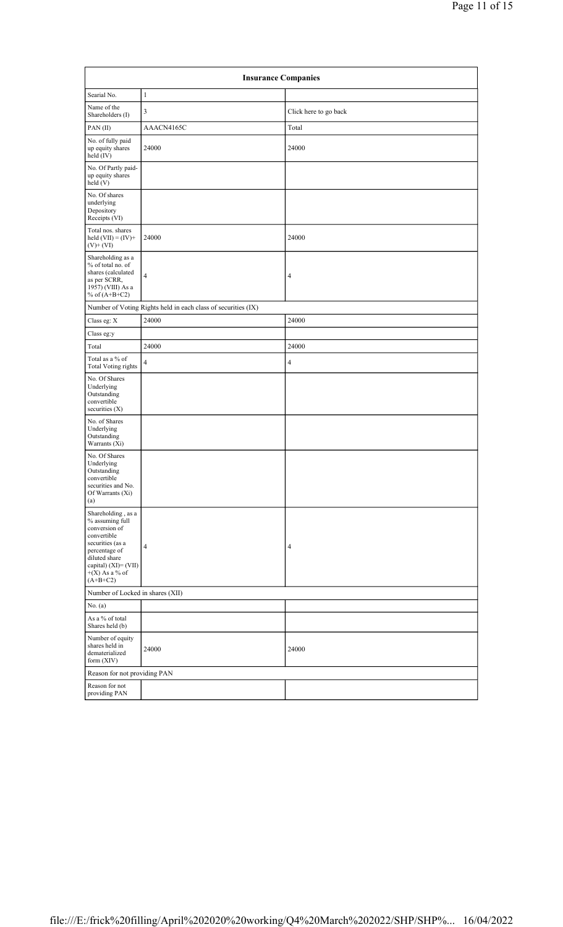|                                                                                                                                                                                          | <b>Insurance Companies</b>                                    |                       |  |  |  |  |  |
|------------------------------------------------------------------------------------------------------------------------------------------------------------------------------------------|---------------------------------------------------------------|-----------------------|--|--|--|--|--|
| Searial No.                                                                                                                                                                              | 1                                                             |                       |  |  |  |  |  |
| Name of the<br>Shareholders (I)                                                                                                                                                          | 3                                                             | Click here to go back |  |  |  |  |  |
| PAN(II)                                                                                                                                                                                  | AAACN4165C                                                    | Total                 |  |  |  |  |  |
| No. of fully paid<br>up equity shares<br>held (IV)                                                                                                                                       | 24000                                                         | 24000                 |  |  |  |  |  |
| No. Of Partly paid-<br>up equity shares<br>held(V)                                                                                                                                       |                                                               |                       |  |  |  |  |  |
| No. Of shares<br>underlying<br>Depository<br>Receipts (VI)                                                                                                                               |                                                               |                       |  |  |  |  |  |
| Total nos. shares<br>held $(VII) = (IV) +$<br>$(V)+(VI)$                                                                                                                                 | 24000                                                         | 24000                 |  |  |  |  |  |
| Shareholding as a<br>% of total no. of<br>shares (calculated<br>as per SCRR,<br>1957) (VIII) As a<br>% of $(A+B+C2)$                                                                     | $\overline{4}$                                                | 4                     |  |  |  |  |  |
|                                                                                                                                                                                          | Number of Voting Rights held in each class of securities (IX) |                       |  |  |  |  |  |
| Class eg: X                                                                                                                                                                              | 24000                                                         | 24000                 |  |  |  |  |  |
| Class eg:y                                                                                                                                                                               |                                                               |                       |  |  |  |  |  |
| Total                                                                                                                                                                                    | 24000                                                         | 24000                 |  |  |  |  |  |
| Total as a % of<br><b>Total Voting rights</b>                                                                                                                                            | $\overline{4}$                                                | $\overline{4}$        |  |  |  |  |  |
| No. Of Shares<br>Underlying<br>Outstanding<br>convertible<br>securities (X)                                                                                                              |                                                               |                       |  |  |  |  |  |
| No. of Shares<br>Underlying<br>Outstanding<br>Warrants (Xi)                                                                                                                              |                                                               |                       |  |  |  |  |  |
| No. Of Shares<br>Underlying<br>Outstanding<br>convertible<br>securities and No.<br>Of Warrants (Xi)<br>(a)                                                                               |                                                               |                       |  |  |  |  |  |
| Shareholding, as a<br>% assuming full<br>conversion of<br>convertible<br>securities (as a<br>percentage of<br>diluted share<br>capital) $(XI) = (VII)$<br>$+(X)$ As a % of<br>$(A+B+C2)$ | $\overline{4}$                                                | 4                     |  |  |  |  |  |
| Number of Locked in shares (XII)                                                                                                                                                         |                                                               |                       |  |  |  |  |  |
| No. (a)                                                                                                                                                                                  |                                                               |                       |  |  |  |  |  |
| As a % of total<br>Shares held (b)                                                                                                                                                       |                                                               |                       |  |  |  |  |  |
| Number of equity<br>shares held in<br>dematerialized<br>form $(XIV)$                                                                                                                     | 24000                                                         | 24000                 |  |  |  |  |  |
| Reason for not providing PAN                                                                                                                                                             |                                                               |                       |  |  |  |  |  |
| Reason for not<br>providing PAN                                                                                                                                                          |                                                               |                       |  |  |  |  |  |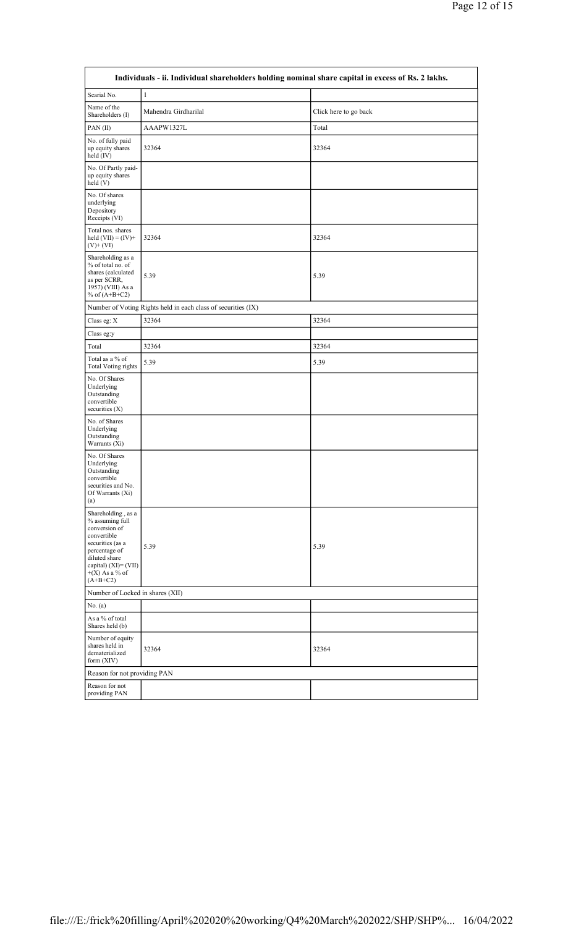| Individuals - ii. Individual shareholders holding nominal share capital in excess of Rs. 2 lakhs.                                                                                        |                                                               |                       |  |  |  |
|------------------------------------------------------------------------------------------------------------------------------------------------------------------------------------------|---------------------------------------------------------------|-----------------------|--|--|--|
| Searial No.                                                                                                                                                                              | $\mathbf{1}$                                                  |                       |  |  |  |
| Name of the<br>Shareholders (I)                                                                                                                                                          | Mahendra Girdharilal                                          | Click here to go back |  |  |  |
| PAN(II)                                                                                                                                                                                  | AAAPW1327L                                                    | Total                 |  |  |  |
| No. of fully paid<br>up equity shares<br>held (IV)                                                                                                                                       | 32364                                                         | 32364                 |  |  |  |
| No. Of Partly paid-<br>up equity shares<br>held(V)                                                                                                                                       |                                                               |                       |  |  |  |
| No. Of shares<br>underlying<br>Depository<br>Receipts (VI)                                                                                                                               |                                                               |                       |  |  |  |
| Total nos. shares<br>held $(VII) = (IV) +$<br>$(V)+(VI)$                                                                                                                                 | 32364                                                         | 32364                 |  |  |  |
| Shareholding as a<br>% of total no. of<br>shares (calculated<br>as per SCRR,<br>1957) (VIII) As a<br>% of $(A+B+C2)$                                                                     | 5.39                                                          | 5.39                  |  |  |  |
|                                                                                                                                                                                          | Number of Voting Rights held in each class of securities (IX) |                       |  |  |  |
| Class eg: X                                                                                                                                                                              | 32364                                                         | 32364                 |  |  |  |
| Class eg:y                                                                                                                                                                               |                                                               |                       |  |  |  |
| Total                                                                                                                                                                                    | 32364                                                         | 32364                 |  |  |  |
| Total as a % of<br><b>Total Voting rights</b>                                                                                                                                            | 5.39                                                          | 5.39                  |  |  |  |
| No. Of Shares<br>Underlying<br>Outstanding<br>convertible<br>securities (X)                                                                                                              |                                                               |                       |  |  |  |
| No. of Shares<br>Underlying<br>Outstanding<br>Warrants (Xi)                                                                                                                              |                                                               |                       |  |  |  |
| No. Of Shares<br>Underlying<br>Outstanding<br>convertible<br>securities and No.<br>Of Warrants (Xi)<br>(a)                                                                               |                                                               |                       |  |  |  |
| Shareholding, as a<br>% assuming full<br>conversion of<br>convertible<br>securities (as a<br>percentage of<br>diluted share<br>capital) $(XI) = (VII)$<br>$+(X)$ As a % of<br>$(A+B+C2)$ | 5.39                                                          | 5.39                  |  |  |  |
| Number of Locked in shares (XII)                                                                                                                                                         |                                                               |                       |  |  |  |
| No. $(a)$                                                                                                                                                                                |                                                               |                       |  |  |  |
| As a % of total<br>Shares held (b)                                                                                                                                                       |                                                               |                       |  |  |  |
| Number of equity<br>shares held in<br>dematerialized<br>form $(XIV)$                                                                                                                     | 32364                                                         | 32364                 |  |  |  |
| Reason for not providing PAN                                                                                                                                                             |                                                               |                       |  |  |  |
| Reason for not<br>providing PAN                                                                                                                                                          |                                                               |                       |  |  |  |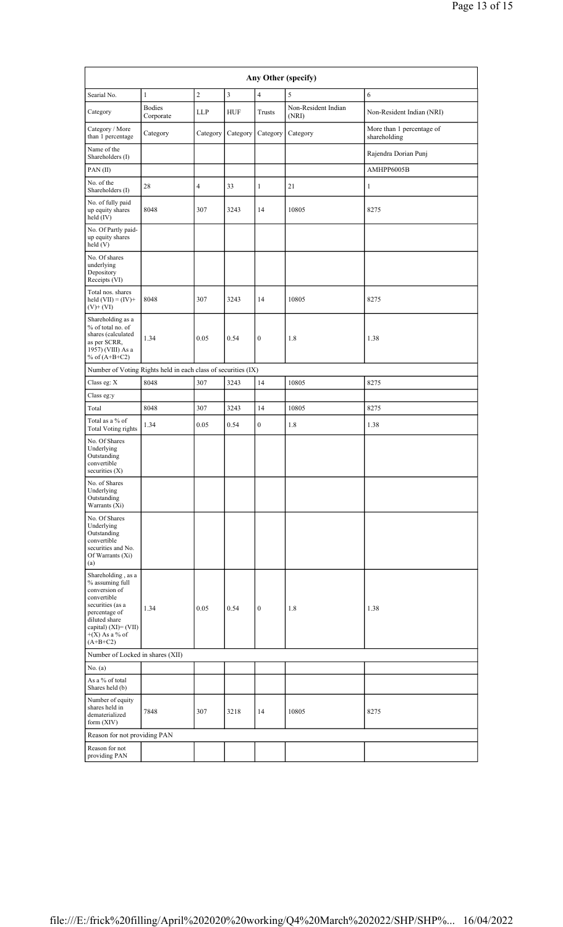| Any Other (specify)                                                                                                                                                                      |                            |                |                |                  |                              |                                           |  |
|------------------------------------------------------------------------------------------------------------------------------------------------------------------------------------------|----------------------------|----------------|----------------|------------------|------------------------------|-------------------------------------------|--|
| Searial No.                                                                                                                                                                              | $\mathbf{1}$               | $\sqrt{2}$     | $\mathfrak{Z}$ | $\overline{4}$   | 5                            | 6                                         |  |
| Category                                                                                                                                                                                 | <b>Bodies</b><br>Corporate | LLP            | <b>HUF</b>     | Trusts           | Non-Resident Indian<br>(NRI) | Non-Resident Indian (NRI)                 |  |
| Category / More<br>than 1 percentage                                                                                                                                                     | Category                   | Category       | Category       | Category         | Category                     | More than 1 percentage of<br>shareholding |  |
| Name of the<br>Shareholders (I)                                                                                                                                                          |                            |                |                |                  |                              | Rajendra Dorian Punj                      |  |
| PAN(II)                                                                                                                                                                                  |                            |                |                |                  |                              | AMHPP6005B                                |  |
| No. of the<br>Shareholders (I)                                                                                                                                                           | 28                         | $\overline{4}$ | 33             | $\mathbf{1}$     | 21                           | $\mathbf{1}$                              |  |
| No. of fully paid<br>up equity shares<br>held (IV)                                                                                                                                       | 8048                       | 307            | 3243           | 14               | 10805                        | 8275                                      |  |
| No. Of Partly paid-<br>up equity shares<br>held (V)                                                                                                                                      |                            |                |                |                  |                              |                                           |  |
| No. Of shares<br>underlying<br>Depository<br>Receipts (VI)                                                                                                                               |                            |                |                |                  |                              |                                           |  |
| Total nos. shares<br>held $(VII) = (IV) +$<br>$(V)$ + $(VI)$                                                                                                                             | 8048                       | 307            | 3243           | 14               | 10805                        | 8275                                      |  |
| Shareholding as a<br>% of total no. of<br>shares (calculated<br>as per SCRR,<br>1957) (VIII) As a<br>% of $(A+B+C2)$                                                                     | 1.34                       | 0.05           | 0.54           | $\boldsymbol{0}$ | 1.8                          | 1.38                                      |  |
| Number of Voting Rights held in each class of securities (IX)                                                                                                                            |                            |                |                |                  |                              |                                           |  |
| Class eg: X                                                                                                                                                                              | 8048                       | 307            | 3243           | 14               | 10805                        | 8275                                      |  |
| Class eg:y                                                                                                                                                                               |                            |                |                |                  |                              |                                           |  |
| Total                                                                                                                                                                                    | 8048                       | 307            | 3243           | 14               | 10805                        | 8275                                      |  |
| Total as a % of<br><b>Total Voting rights</b>                                                                                                                                            | 1.34                       | 0.05           | 0.54           | $\overline{0}$   | 1.8                          | 1.38                                      |  |
| No. Of Shares<br>Underlying<br>Outstanding<br>convertible<br>securities $(X)$                                                                                                            |                            |                |                |                  |                              |                                           |  |
| No. of Shares<br>Underlying<br>Outstanding<br>Warrants (Xi)                                                                                                                              |                            |                |                |                  |                              |                                           |  |
| No. Of Shares<br>Underlying<br>Outstanding<br>convertible<br>securities and No.<br>Of Warrants (Xi)<br>(a)                                                                               |                            |                |                |                  |                              |                                           |  |
| Shareholding, as a<br>% assuming full<br>conversion of<br>convertible<br>securities (as a<br>percentage of<br>diluted share<br>capital) $(XI) = (VII)$<br>$+(X)$ As a % of<br>$(A+B+C2)$ | 1.34                       | 0.05           | 0.54           | $\boldsymbol{0}$ | 1.8                          | 1.38                                      |  |
| Number of Locked in shares (XII)                                                                                                                                                         |                            |                |                |                  |                              |                                           |  |
| No. (a)                                                                                                                                                                                  |                            |                |                |                  |                              |                                           |  |
| As a % of total<br>Shares held (b)                                                                                                                                                       |                            |                |                |                  |                              |                                           |  |
| Number of equity<br>shares held in<br>dematerialized<br>form (XIV)                                                                                                                       | 7848                       | 307            | 3218           | 14               | 10805                        | 8275                                      |  |
| Reason for not providing PAN                                                                                                                                                             |                            |                |                |                  |                              |                                           |  |
| Reason for not<br>providing PAN                                                                                                                                                          |                            |                |                |                  |                              |                                           |  |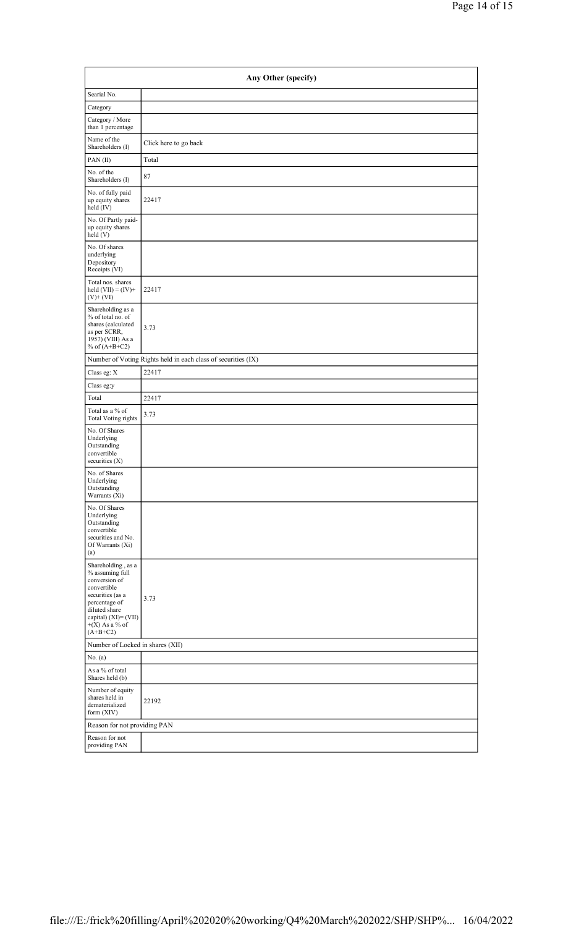| Any Other (specify)                                                                                                                                                                      |                       |  |  |  |  |  |  |
|------------------------------------------------------------------------------------------------------------------------------------------------------------------------------------------|-----------------------|--|--|--|--|--|--|
| Searial No.                                                                                                                                                                              |                       |  |  |  |  |  |  |
| Category                                                                                                                                                                                 |                       |  |  |  |  |  |  |
| Category / More<br>than 1 percentage                                                                                                                                                     |                       |  |  |  |  |  |  |
| Name of the<br>Shareholders (I)                                                                                                                                                          | Click here to go back |  |  |  |  |  |  |
| PAN(II)                                                                                                                                                                                  | Total                 |  |  |  |  |  |  |
| No. of the<br>Shareholders (I)                                                                                                                                                           | 87                    |  |  |  |  |  |  |
| No. of fully paid<br>up equity shares<br>held (IV)                                                                                                                                       | 22417                 |  |  |  |  |  |  |
| No. Of Partly paid-<br>up equity shares<br>held(V)                                                                                                                                       |                       |  |  |  |  |  |  |
| No. Of shares<br>underlying<br>Depository<br>Receipts (VI)                                                                                                                               |                       |  |  |  |  |  |  |
| Total nos. shares<br>held $(VII) = (IV) +$<br>$(V)+(VI)$                                                                                                                                 | 22417                 |  |  |  |  |  |  |
| Shareholding as a<br>% of total no. of<br>shares (calculated<br>as per SCRR,<br>1957) (VIII) As a<br>% of $(A+B+C2)$                                                                     | 3.73                  |  |  |  |  |  |  |
| Number of Voting Rights held in each class of securities (IX)                                                                                                                            |                       |  |  |  |  |  |  |
| Class eg: X                                                                                                                                                                              | 22417                 |  |  |  |  |  |  |
| Class eg:y                                                                                                                                                                               |                       |  |  |  |  |  |  |
| Total                                                                                                                                                                                    | 22417                 |  |  |  |  |  |  |
| Total as a % of<br><b>Total Voting rights</b>                                                                                                                                            | 3.73                  |  |  |  |  |  |  |
| No. Of Shares<br>Underlying<br>Outstanding<br>convertible<br>securities $(X)$                                                                                                            |                       |  |  |  |  |  |  |
| No. of Shares<br>Underlying<br>Outstanding<br>Warrants (Xi)                                                                                                                              |                       |  |  |  |  |  |  |
| No. Of Shares<br>Underlying<br>Outstanding<br>convertible<br>securities and No.<br>Of Warrants (Xi)<br>(a)                                                                               |                       |  |  |  |  |  |  |
| Shareholding, as a<br>% assuming full<br>conversion of<br>convertible<br>securities (as a<br>percentage of<br>diluted share<br>capital) $(XI) = (VII)$<br>$+(X)$ As a % of<br>$(A+B+C2)$ | 3.73                  |  |  |  |  |  |  |
| Number of Locked in shares (XII)                                                                                                                                                         |                       |  |  |  |  |  |  |
| No. (a)                                                                                                                                                                                  |                       |  |  |  |  |  |  |
| As a % of total<br>Shares held (b)                                                                                                                                                       |                       |  |  |  |  |  |  |
| Number of equity<br>shares held in<br>dematerialized<br>form (XIV)                                                                                                                       | 22192                 |  |  |  |  |  |  |
| Reason for not providing PAN                                                                                                                                                             |                       |  |  |  |  |  |  |
| Reason for not<br>providing PAN                                                                                                                                                          |                       |  |  |  |  |  |  |